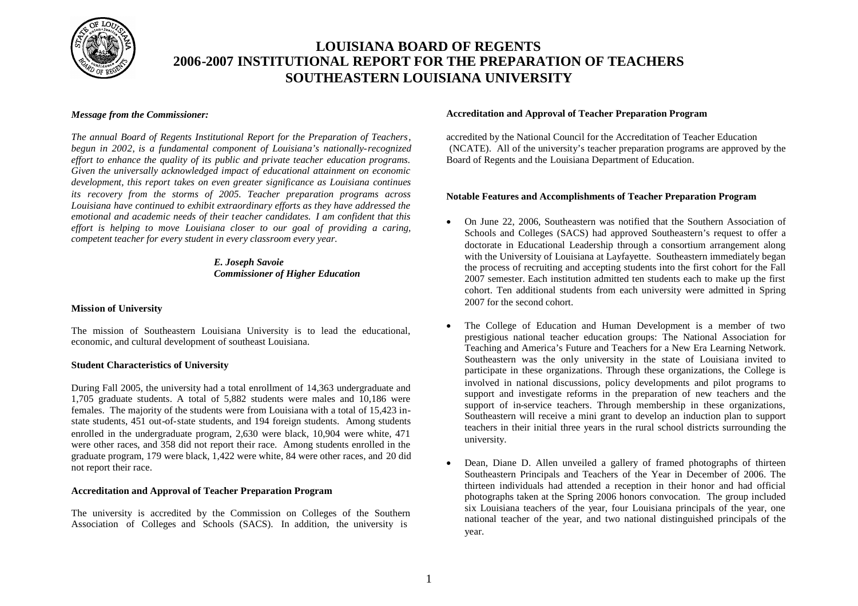

## **LOUISIANA BOARD OF REGENTS 2006-2007 INSTITUTIONAL REPORT FOR THE PREPARATION OF TEACHERS SOUTHEASTERN LOUISIANA UNIVERSITY**

### *Message from the Commissioner:*

*The annual Board of Regents Institutional Report for the Preparation of Teachers*, *begun in 2002*, *is a fundamental component of Louisiana's nationally-recognized effort to enhance the quality of its public and private teacher education programs. Given the universally acknowledged impact of educational attainment on economic development, this report takes on even greater significance as Louisiana continues its recovery from the storms of 2005. Teacher preparation programs across Louisiana have continued to exhibit extraordinary efforts as they have addressed the emotional and academic needs of their teacher candidates. I am confident that this effort is helping to move Louisiana closer to our goal of providing a caring, competent teacher for every student in every classroom every year.*

## *E. Joseph Savoie Commissioner of Higher Education*

## **Mission of University**

The mission of Southeastern Louisiana University is to lead the educational, economic, and cultural development of southeast Louisiana.

## **Student Characteristics of University**

During Fall 2005, the university had a total enrollment of 14,363 undergraduate and 1,705 graduate students. A total of 5,882 students were males and 10,186 were females. The majority of the students were from Louisiana with a total of 15,423 instate students, 451 out-of-state students, and 194 foreign students. Among students enrolled in the undergraduate program, 2,630 were black, 10,904 were white, 471 were other races, and 358 did not report their race. Among students enrolled in the graduate program, 179 were black, 1,422 were white, 84 were other races, and 20 did not report their race.

### **Accreditation and Approval of Teacher Preparation Program**

The university is accredited by the Commission on Colleges of the Southern Association of Colleges and Schools (SACS). In addition, the university is

#### **Accreditation and Approval of Teacher Preparation Program**

accredited by the National Council for the Accreditation of Teacher Education (NCATE). All of the university's teacher preparation programs are approved by the Board of Regents and the Louisiana Department of Education.

### **Notable Features and Accomplishments of Teacher Preparation Program**

- On June 22, 2006, Southeastern was notified that the Southern Association of Schools and Colleges (SACS) had approved Southeastern's request to offer a doctorate in Educational Leadership through a consortium arrangement along with the University of Louisiana at Layfayette. Southeastern immediately began the process of recruiting and accepting students into the first cohort for the Fall 2007 semester. Each institution admitted ten students each to make up the first cohort. Ten additional students from each university were admitted in Spring 2007 for the second cohort.
- The College of Education and Human Development is a member of two prestigious national teacher education groups: The National Association for Teaching and America's Future and Teachers for a New Era Learning Network. Southeastern was the only university in the state of Louisiana invited to participate in these organizations. Through these organizations, the College is involved in national discussions, policy developments and pilot programs to support and investigate reforms in the preparation of new teachers and the support of in-service teachers. Through membership in these organizations, Southeastern will receive a mini grant to develop an induction plan to support teachers in their initial three years in the rural school districts surrounding the university.
- Dean, Diane D. Allen unveiled a gallery of framed photographs of thirteen Southeastern Principals and Teachers of the Year in December of 2006. The thirteen individuals had attended a reception in their honor and had official photographs taken at the Spring 2006 honors convocation. The group included six Louisiana teachers of the year, four Louisiana principals of the year, one national teacher of the year, and two national distinguished principals of the year.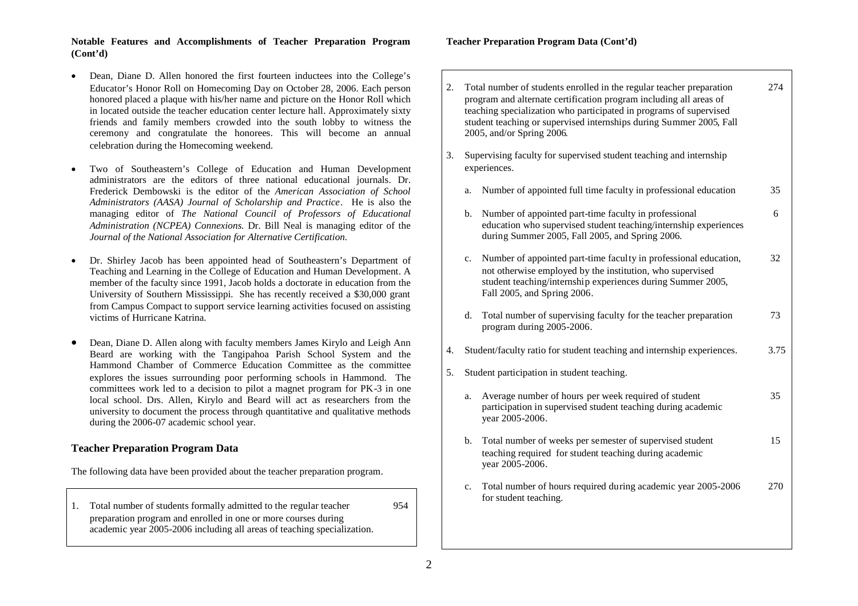### **Notable Features and Accomplishments of Teacher Preparation Program (Cont'd)**

- Dean, Diane D. Allen honored the first fourteen inductees into the College's Educator's Honor Roll on Homecoming Day on October 28, 2006. Each person honored placed a plaque with his/her name and picture on the Honor Roll which in located outside the teacher education center lecture hall. Approximately sixty friends and family members crowded into the south lobby to witness the ceremony and congratulate the honorees. This will become an annual celebration during the Homecoming weekend.
- Two of Southeastern's College of Education and Human Development administrators are the editors of three national educational journals. Dr. Frederick Dembowski is the editor of the *American Association of School Administrators (AASA) Journal of Scholarship and Practice*. He is also the managing editor of *The National Council of Professors of Educational Administration (NCPEA) Connexions*. Dr. Bill Neal is managing editor of the *Journal of the National Association for Alternative Certification.*
- Dr. Shirley Jacob has been appointed head of Southeastern's Department of Teaching and Learning in the College of Education and Human Development. A member of the faculty since 1991, Jacob holds a doctorate in education from the University of Southern Mississippi. She has recently received a \$30,000 grant from Campus Compact to support service learning activities focused on assisting victims of Hurricane Katrina.
- Dean, Diane D. Allen along with faculty members James Kirylo and Leigh Ann Beard are working with the Tangipahoa Parish School System and the Hammond Chamber of Commerce Education Committee as the committee explores the issues surrounding poor performing schools in Hammond. The committees work led to a decision to pilot a magnet program for PK-3 in one local school. Drs. Allen, Kirylo and Beard will act as researchers from the university to document the process through quantitative and qualitative methods during the 2006-07 academic school year.

## **Teacher Preparation Program Data**

The following data have been provided about the teacher preparation program.

1. Total number of students formally admitted to the regular teacher 954 preparation program and enrolled in one or more courses during academic year 2005-2006 including all areas of teaching specialization.

### **Teacher Preparation Program Data (Cont'd)**

2. Total number of students enrolled in the regular teacher preparation 274 program and alternate certification program including all areas of teaching specialization who participated in programs of supervised student teaching or supervised internships during Summer 2005, Fall 2005, and/or Spring 2006. 3. Supervising faculty for supervised student teaching and internship experiences. a. Number of appointed full time faculty in professional education 35 b. Number of appointed part-time faculty in professional 6 education who supervised student teaching/internship experiences during Summer 2005, Fall 2005, and Spring 2006. c. Number of appointed part-time faculty in professional education, 32 not otherwise employed by the institution, who supervised student teaching/internship experiences during Summer 2005, Fall 2005, and Spring 2006. d. Total number of supervising faculty for the teacher preparation  $\frac{73}{2}$ program during 2005-2006. 4. Student/faculty ratio for student teaching and internship experiences. 3.75 5. Student participation in student teaching. a. Average number of hours per week required of student 35 participation in supervised student teaching during academic year 2005-2006. b. Total number of weeks per semester of supervised student 15 teaching required for student teaching during academic year 2005-2006. c. Total number of hours required during academic year 2005-2006 270 for student teaching.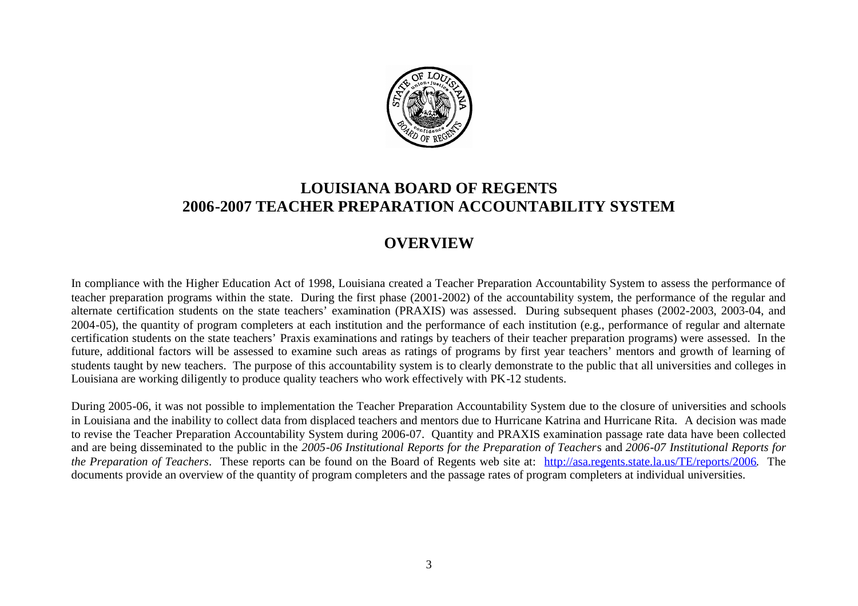

# **LOUISIANA BOARD OF REGENTS 2006-2007 TEACHER PREPARATION ACCOUNTABILITY SYSTEM**

## **OVERVIEW**

In compliance with the Higher Education Act of 1998, Louisiana created a Teacher Preparation Accountability System to assess the performance of teacher preparation programs within the state. During the first phase (2001-2002) of the accountability system, the performance of the regular and alternate certification students on the state teachers' examination (PRAXIS) was assessed. During subsequent phases (2002-2003, 2003-04, and 2004-05), the quantity of program completers at each institution and the performance of each institution (e.g., performance of regular and alternate certification students on the state teachers' Praxis examinations and ratings by teachers of their teacher preparation programs) were assessed. In the future, additional factors will be assessed to examine such areas as ratings of programs by first year teachers' mentors and growth of learning of students taught by new teachers. The purpose of this accountability system is to clearly demonstrate to the public that all universities and colleges in Louisiana are working diligently to produce quality teachers who work effectively with PK-12 students.

During 2005-06, it was not possible to implementation the Teacher Preparation Accountability System due to the closure of universities and schools in Louisiana and the inability to collect data from displaced teachers and mentors due to Hurricane Katrina and Hurricane Rita. A decision was made to revise the Teacher Preparation Accountability System during 2006-07. Quantity and PRAXIS examination passage rate data have been collected and are being disseminated to the public in the *2005-06 Institutional Reports for the Preparation of Teacher*s and *2006-07 Institutional Reports for the Preparation of Teachers*. These reports can be found on the Board of Regents web site at: http://asa.regents.state.la.us/TE/reports/2006. The documents provide an overview of the quantity of program completers and the passage rates of program completers at individual universities.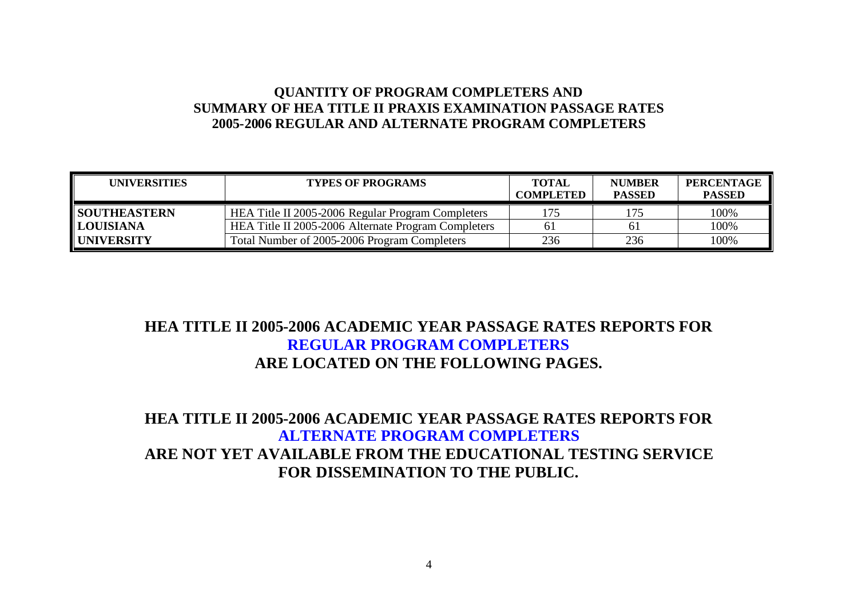## **QUANTITY OF PROGRAM COMPLETERS AND SUMMARY OF HEA TITLE II PRAXIS EXAMINATION PASSAGE RATES 2005-2006 REGULAR AND ALTERNATE PROGRAM COMPLETERS**

| <b>UNIVERSITIES</b> | <b>TYPES OF PROGRAMS</b>                            | <b>TOTAL</b><br><b>COMPLETED</b> | <b>NUMBER</b><br><b>PASSED</b> | <b>PERCENTAGE</b><br><b>PASSED</b> |
|---------------------|-----------------------------------------------------|----------------------------------|--------------------------------|------------------------------------|
| <b>SOUTHEASTERN</b> | HEA Title II 2005-2006 Regular Program Completers   |                                  | 175                            | 100%                               |
| <b>LOUISIANA</b>    | HEA Title II 2005-2006 Alternate Program Completers |                                  | 61                             | 100%                               |
| <b>UNIVERSITY</b>   | Total Number of 2005-2006 Program Completers        | 236                              | 236                            | 100%                               |

# **HEA TITLE II 2005-2006 ACADEMIC YEAR PASSAGE RATES REPORTS FOR REGULAR PROGRAM COMPLETERS ARE LOCATED ON THE FOLLOWING PAGES.**

## **HEA TITLE II 2005-2006 ACADEMIC YEAR PASSAGE RATES REPORTS FOR ALTERNATE PROGRAM COMPLETERS ARE NOT YET AVAILABLE FROM THE EDUCATIONAL TESTING SERVICE FOR DISSEMINATION TO THE PUBLIC.**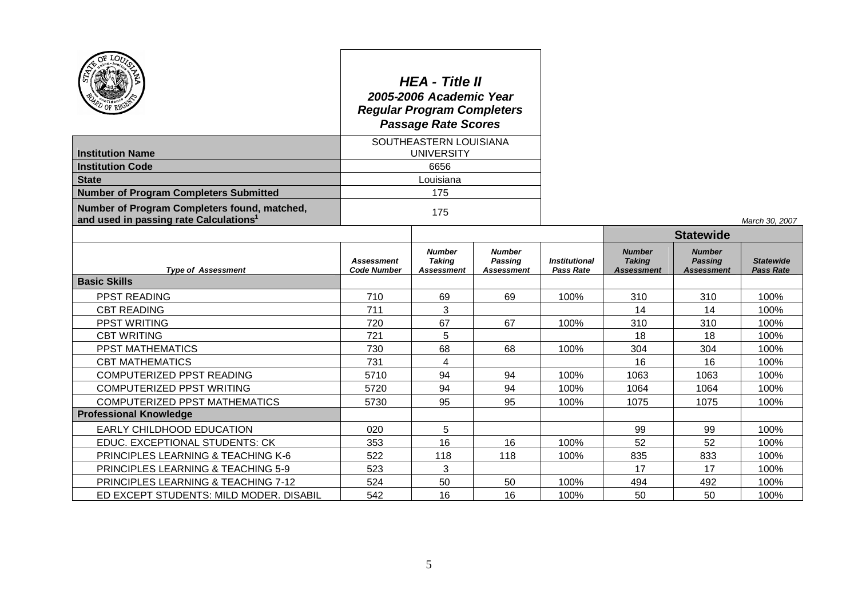|                                                                                                    | <b>HEA - Title II</b><br>2005-2006 Academic Year<br><b>Regular Program Completers</b><br><b>Passage Rate Scores</b> |                                              |                                        |                                          |                                                     |                                                      |                                      |
|----------------------------------------------------------------------------------------------------|---------------------------------------------------------------------------------------------------------------------|----------------------------------------------|----------------------------------------|------------------------------------------|-----------------------------------------------------|------------------------------------------------------|--------------------------------------|
|                                                                                                    | SOUTHEASTERN LOUISIANA                                                                                              |                                              |                                        |                                          |                                                     |                                                      |                                      |
| <b>Institution Name</b>                                                                            |                                                                                                                     | <b>UNIVERSITY</b>                            |                                        |                                          |                                                     |                                                      |                                      |
| <b>Institution Code</b>                                                                            |                                                                                                                     | 6656                                         |                                        |                                          |                                                     |                                                      |                                      |
| <b>State</b>                                                                                       |                                                                                                                     | Louisiana                                    |                                        |                                          |                                                     |                                                      |                                      |
| <b>Number of Program Completers Submitted</b>                                                      |                                                                                                                     | 175                                          |                                        |                                          |                                                     |                                                      |                                      |
| Number of Program Completers found, matched,<br>and used in passing rate Calculations <sup>1</sup> |                                                                                                                     | 175                                          |                                        |                                          |                                                     |                                                      | March 30, 2007                       |
|                                                                                                    |                                                                                                                     |                                              |                                        |                                          | <b>Statewide</b>                                    |                                                      |                                      |
| <b>Type of Assessment</b>                                                                          | <b>Assessment</b><br><b>Code Number</b>                                                                             | <b>Number</b><br><b>Taking</b><br>Assessment | <b>Number</b><br>Passing<br>Assessment | <b>Institutional</b><br><b>Pass Rate</b> | <b>Number</b><br><b>Taking</b><br><b>Assessment</b> | <b>Number</b><br><b>Passing</b><br><b>Assessment</b> | <b>Statewide</b><br><b>Pass Rate</b> |
| <b>Basic Skills</b>                                                                                |                                                                                                                     |                                              |                                        |                                          |                                                     |                                                      |                                      |
| PPST READING                                                                                       | 710                                                                                                                 | 69                                           | 69                                     | 100%                                     | 310                                                 | 310                                                  | 100%                                 |
| <b>CBT READING</b>                                                                                 | 711                                                                                                                 | 3                                            |                                        |                                          | 14                                                  | 14                                                   | 100%                                 |
| <b>PPST WRITING</b>                                                                                | 720                                                                                                                 | 67                                           | 67                                     | 100%                                     | 310                                                 | 310                                                  | 100%                                 |
| <b>CBT WRITING</b>                                                                                 | 721                                                                                                                 | 5                                            |                                        |                                          | 18                                                  | 18                                                   | 100%                                 |
| <b>PPST MATHEMATICS</b>                                                                            | 730                                                                                                                 | 68                                           | 68                                     | 100%                                     | 304                                                 | 304                                                  | 100%                                 |
| <b>CBT MATHEMATICS</b>                                                                             | 731                                                                                                                 | 4                                            |                                        |                                          | 16                                                  | 16                                                   | 100%                                 |
| COMPUTERIZED PPST READING                                                                          | 5710                                                                                                                | 94                                           | 94                                     | 100%                                     | 1063                                                | 1063                                                 | 100%                                 |
| COMPUTERIZED PPST WRITING                                                                          | 5720                                                                                                                | 94                                           | 94                                     | 100%                                     | 1064                                                | 1064                                                 | 100%                                 |
| <b>COMPUTERIZED PPST MATHEMATICS</b>                                                               | 5730                                                                                                                | 95                                           | 95                                     | 100%                                     | 1075                                                | 1075                                                 | 100%                                 |
| <b>Professional Knowledge</b>                                                                      |                                                                                                                     |                                              |                                        |                                          |                                                     |                                                      |                                      |
| EARLY CHILDHOOD EDUCATION                                                                          | 020                                                                                                                 | 5                                            |                                        |                                          | 99                                                  | 99                                                   | 100%                                 |
| EDUC. EXCEPTIONAL STUDENTS: CK                                                                     | 353                                                                                                                 | 16                                           | 16                                     | 100%                                     | 52                                                  | 52                                                   | 100%                                 |
| PRINCIPLES LEARNING & TEACHING K-6                                                                 | 522                                                                                                                 | 118                                          | 118                                    | 100%                                     | 835                                                 | 833                                                  | 100%                                 |
| PRINCIPLES LEARNING & TEACHING 5-9                                                                 | 523                                                                                                                 | 3                                            |                                        |                                          | 17                                                  | 17                                                   | 100%                                 |
| PRINCIPLES LEARNING & TEACHING 7-12                                                                | 524                                                                                                                 | 50                                           | 50                                     | 100%                                     | 494                                                 | 492                                                  | 100%                                 |
| ED EXCEPT STUDENTS: MILD MODER. DISABIL                                                            | 542                                                                                                                 | 16                                           | 16                                     | 100%                                     | 50                                                  | 50                                                   | 100%                                 |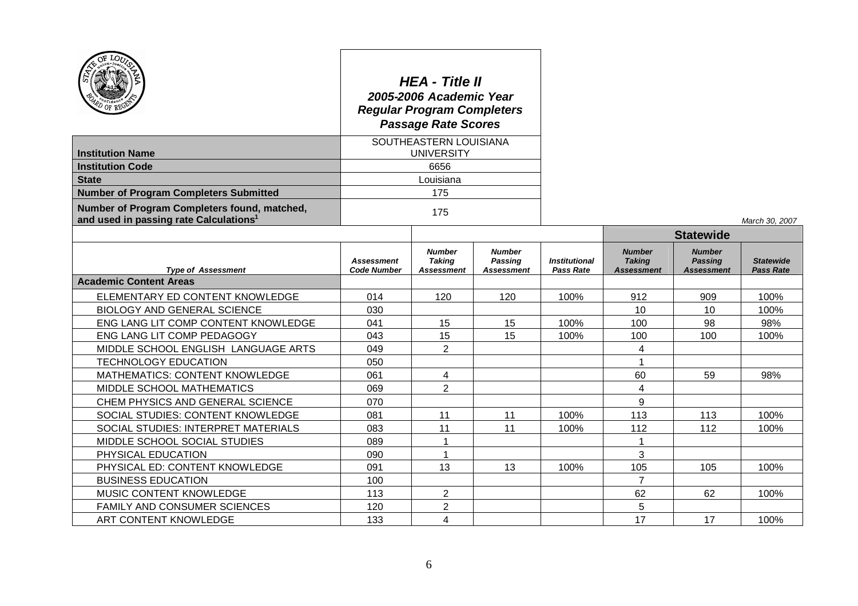|                                                                                                    | <b>HEA - Title II</b><br>2005-2006 Academic Year<br><b>Regular Program Completers</b><br><b>Passage Rate Scores</b> |                                                     |                                                      |                                          |                                                     |                                                      |                                      |
|----------------------------------------------------------------------------------------------------|---------------------------------------------------------------------------------------------------------------------|-----------------------------------------------------|------------------------------------------------------|------------------------------------------|-----------------------------------------------------|------------------------------------------------------|--------------------------------------|
|                                                                                                    | SOUTHEASTERN LOUISIANA                                                                                              |                                                     |                                                      |                                          |                                                     |                                                      |                                      |
| <b>Institution Name</b><br><b>Institution Code</b>                                                 |                                                                                                                     | <b>UNIVERSITY</b><br>6656                           |                                                      |                                          |                                                     |                                                      |                                      |
| <b>State</b>                                                                                       |                                                                                                                     | Louisiana                                           |                                                      |                                          |                                                     |                                                      |                                      |
| <b>Number of Program Completers Submitted</b>                                                      |                                                                                                                     | 175                                                 |                                                      |                                          |                                                     |                                                      |                                      |
| Number of Program Completers found, matched,<br>and used in passing rate Calculations <sup>1</sup> | 175                                                                                                                 |                                                     |                                                      |                                          |                                                     |                                                      | March 30, 2007                       |
|                                                                                                    |                                                                                                                     |                                                     |                                                      |                                          | <b>Statewide</b>                                    |                                                      |                                      |
| <b>Type of Assessment</b>                                                                          | <b>Assessment</b><br><b>Code Number</b>                                                                             | <b>Number</b><br><b>Taking</b><br><b>Assessment</b> | <b>Number</b><br><b>Passing</b><br><b>Assessment</b> | <b>Institutional</b><br><b>Pass Rate</b> | <b>Number</b><br><b>Taking</b><br><b>Assessment</b> | <b>Number</b><br><b>Passing</b><br><b>Assessment</b> | <b>Statewide</b><br><b>Pass Rate</b> |
| <b>Academic Content Areas</b>                                                                      |                                                                                                                     |                                                     |                                                      |                                          |                                                     |                                                      |                                      |
| ELEMENTARY ED CONTENT KNOWLEDGE                                                                    | 014                                                                                                                 | 120                                                 | 120                                                  | 100%                                     | 912                                                 | 909                                                  | 100%                                 |
| <b>BIOLOGY AND GENERAL SCIENCE</b>                                                                 | 030                                                                                                                 |                                                     |                                                      |                                          | 10                                                  | 10                                                   | 100%                                 |
| ENG LANG LIT COMP CONTENT KNOWLEDGE                                                                | 041                                                                                                                 | 15                                                  | 15                                                   | 100%                                     | 100                                                 | 98                                                   | 98%                                  |
| ENG LANG LIT COMP PEDAGOGY                                                                         | 043                                                                                                                 | 15                                                  | 15                                                   | 100%                                     | 100                                                 | 100                                                  | 100%                                 |
| MIDDLE SCHOOL ENGLISH LANGUAGE ARTS                                                                | 049                                                                                                                 | $\overline{2}$                                      |                                                      |                                          | 4                                                   |                                                      |                                      |
| <b>TECHNOLOGY EDUCATION</b>                                                                        | 050                                                                                                                 |                                                     |                                                      |                                          | 1                                                   |                                                      |                                      |
| MATHEMATICS: CONTENT KNOWLEDGE                                                                     | 061                                                                                                                 | 4                                                   |                                                      |                                          | 60                                                  | 59                                                   | 98%                                  |
| MIDDLE SCHOOL MATHEMATICS                                                                          | 069                                                                                                                 | $\overline{2}$                                      |                                                      |                                          | 4                                                   |                                                      |                                      |
| CHEM PHYSICS AND GENERAL SCIENCE                                                                   | 070                                                                                                                 |                                                     |                                                      |                                          | 9                                                   |                                                      |                                      |
| SOCIAL STUDIES: CONTENT KNOWLEDGE                                                                  | 081                                                                                                                 | 11                                                  | 11                                                   | 100%                                     | 113                                                 | 113                                                  | 100%                                 |
| SOCIAL STUDIES: INTERPRET MATERIALS                                                                | 083                                                                                                                 | 11                                                  | 11                                                   | 100%                                     | 112                                                 | 112                                                  | 100%                                 |
| MIDDLE SCHOOL SOCIAL STUDIES                                                                       | 089                                                                                                                 | $\mathbf{1}$                                        |                                                      |                                          | 1                                                   |                                                      |                                      |
| PHYSICAL EDUCATION                                                                                 | 090                                                                                                                 | $\mathbf 1$                                         |                                                      |                                          | 3                                                   |                                                      |                                      |
| PHYSICAL ED: CONTENT KNOWLEDGE                                                                     | 091                                                                                                                 | 13                                                  | 13                                                   | 100%                                     | 105                                                 | 105                                                  | 100%                                 |
| <b>BUSINESS EDUCATION</b>                                                                          | 100                                                                                                                 |                                                     |                                                      |                                          | $\overline{7}$                                      |                                                      |                                      |
| MUSIC CONTENT KNOWLEDGE                                                                            | 113                                                                                                                 | 2                                                   |                                                      |                                          | 62                                                  | 62                                                   | 100%                                 |
| <b>FAMILY AND CONSUMER SCIENCES</b>                                                                | 120                                                                                                                 | $\overline{2}$                                      |                                                      |                                          | 5                                                   |                                                      |                                      |
| ART CONTENT KNOWLEDGE<br>133                                                                       |                                                                                                                     | 4                                                   |                                                      |                                          | 17                                                  | 17                                                   | 100%                                 |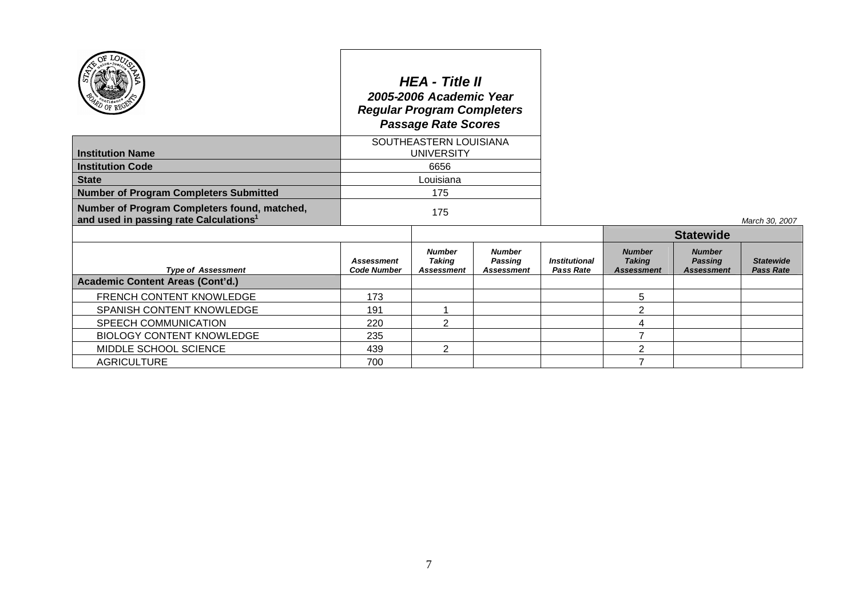|                                                                                                    | <b>HEA - Title II</b><br>2005-2006 Academic Year<br><b>Regular Program Completers</b><br><b>Passage Rate Scores</b> |                                                     |                                               |                                          |                                                     |                                                      |                                      |
|----------------------------------------------------------------------------------------------------|---------------------------------------------------------------------------------------------------------------------|-----------------------------------------------------|-----------------------------------------------|------------------------------------------|-----------------------------------------------------|------------------------------------------------------|--------------------------------------|
| <b>Institution Name</b>                                                                            | SOUTHEASTERN LOUISIANA<br><b>UNIVERSITY</b>                                                                         |                                                     |                                               |                                          |                                                     |                                                      |                                      |
| <b>Institution Code</b>                                                                            | 6656                                                                                                                |                                                     |                                               |                                          |                                                     |                                                      |                                      |
| <b>State</b>                                                                                       | Louisiana                                                                                                           |                                                     |                                               |                                          |                                                     |                                                      |                                      |
| <b>Number of Program Completers Submitted</b>                                                      | 175                                                                                                                 |                                                     |                                               |                                          |                                                     |                                                      |                                      |
| Number of Program Completers found, matched,<br>and used in passing rate Calculations <sup>1</sup> | 175                                                                                                                 |                                                     |                                               |                                          |                                                     | March 30, 2007                                       |                                      |
|                                                                                                    |                                                                                                                     |                                                     |                                               |                                          | <b>Statewide</b>                                    |                                                      |                                      |
| <b>Type of Assessment</b>                                                                          | <b>Assessment</b><br><b>Code Number</b>                                                                             | <b>Number</b><br><b>Taking</b><br><b>Assessment</b> | <b>Number</b><br>Passing<br><b>Assessment</b> | <b>Institutional</b><br><b>Pass Rate</b> | <b>Number</b><br><b>Taking</b><br><b>Assessment</b> | <b>Number</b><br><b>Passing</b><br><b>Assessment</b> | <b>Statewide</b><br><b>Pass Rate</b> |
| <b>Academic Content Areas (Cont'd.)</b>                                                            |                                                                                                                     |                                                     |                                               |                                          |                                                     |                                                      |                                      |
| FRENCH CONTENT KNOWLEDGE                                                                           | 173                                                                                                                 |                                                     |                                               |                                          | 5                                                   |                                                      |                                      |
| SPANISH CONTENT KNOWLEDGE                                                                          | 191                                                                                                                 |                                                     |                                               |                                          | $\overline{2}$                                      |                                                      |                                      |
| SPEECH COMMUNICATION                                                                               | 220                                                                                                                 | $\overline{2}$                                      |                                               |                                          | 4                                                   |                                                      |                                      |
| <b>BIOLOGY CONTENT KNOWLEDGE</b>                                                                   | 235                                                                                                                 |                                                     |                                               |                                          | $\overline{7}$                                      |                                                      |                                      |
| MIDDLE SCHOOL SCIENCE                                                                              | 439                                                                                                                 | $\overline{2}$                                      |                                               |                                          | 2                                                   |                                                      |                                      |
| <b>AGRICULTURE</b>                                                                                 | 700                                                                                                                 |                                                     |                                               |                                          | 7                                                   |                                                      |                                      |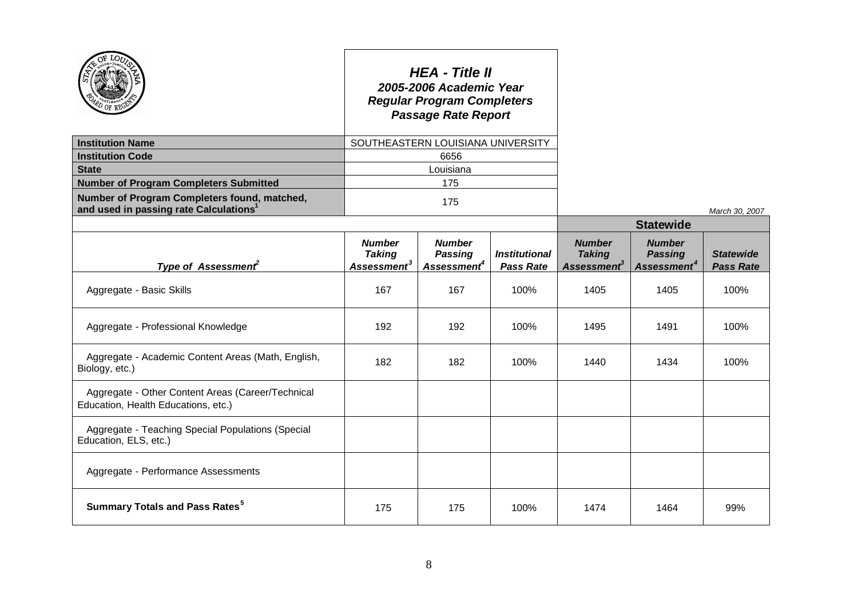|                                                                                          |                                                           | <b>HEA - Title II</b><br>2005-2006 Academic Year<br><b>Regular Program Completers</b><br><b>Passage Rate Report</b> |                                          |                                                           |                                                            |                                      |  |
|------------------------------------------------------------------------------------------|-----------------------------------------------------------|---------------------------------------------------------------------------------------------------------------------|------------------------------------------|-----------------------------------------------------------|------------------------------------------------------------|--------------------------------------|--|
| <b>Institution Name</b>                                                                  |                                                           | SOUTHEASTERN LOUISIANA UNIVERSITY                                                                                   |                                          |                                                           |                                                            |                                      |  |
| <b>Institution Code</b>                                                                  |                                                           | 6656                                                                                                                |                                          |                                                           |                                                            |                                      |  |
| <b>State</b>                                                                             | Louisiana                                                 |                                                                                                                     |                                          |                                                           |                                                            |                                      |  |
| <b>Number of Program Completers Submitted</b>                                            |                                                           | 175                                                                                                                 |                                          |                                                           |                                                            |                                      |  |
| Number of Program Completers found, matched,<br>and used in passing rate Calculations    | 175                                                       |                                                                                                                     |                                          |                                                           |                                                            | March 30, 2007                       |  |
|                                                                                          |                                                           |                                                                                                                     |                                          | <b>Statewide</b>                                          |                                                            |                                      |  |
| Type of Assessment <sup>2</sup>                                                          | <b>Number</b><br><b>Taking</b><br>Assessment <sup>3</sup> | <b>Number</b><br><b>Passing</b><br>Assessment <sup>4</sup>                                                          | <b>Institutional</b><br><b>Pass Rate</b> | <b>Number</b><br><b>Taking</b><br>Assessment <sup>3</sup> | <b>Number</b><br><b>Passing</b><br>Assessment <sup>4</sup> | <b>Statewide</b><br><b>Pass Rate</b> |  |
| Aggregate - Basic Skills                                                                 | 167                                                       | 167                                                                                                                 | 100%                                     | 1405                                                      | 1405                                                       | 100%                                 |  |
| Aggregate - Professional Knowledge                                                       | 192                                                       | 192                                                                                                                 | 100%                                     | 1495                                                      | 1491                                                       | 100%                                 |  |
| Aggregate - Academic Content Areas (Math, English,<br>Biology, etc.)                     | 182                                                       | 182                                                                                                                 | 100%                                     | 1440                                                      | 1434                                                       | 100%                                 |  |
| Aggregate - Other Content Areas (Career/Technical<br>Education, Health Educations, etc.) |                                                           |                                                                                                                     |                                          |                                                           |                                                            |                                      |  |
| Aggregate - Teaching Special Populations (Special<br>Education, ELS, etc.)               |                                                           |                                                                                                                     |                                          |                                                           |                                                            |                                      |  |
| Aggregate - Performance Assessments                                                      |                                                           |                                                                                                                     |                                          |                                                           |                                                            |                                      |  |
| <b>Summary Totals and Pass Rates<sup>5</sup></b>                                         | 175                                                       | 175                                                                                                                 | 100%                                     | 1474                                                      | 1464                                                       | 99%                                  |  |